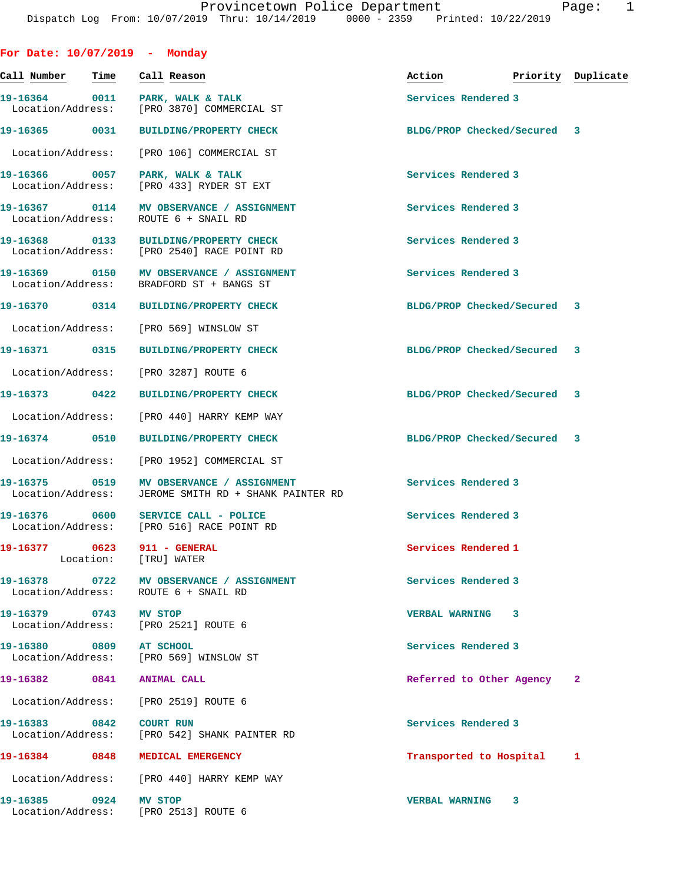| For Date: 10/07/2019 - Monday      |      |                                                                                                  |                             |                    |
|------------------------------------|------|--------------------------------------------------------------------------------------------------|-----------------------------|--------------------|
| Call Number                        | Time | Call Reason                                                                                      | Action                      | Priority Duplicate |
|                                    |      | 19-16364 0011 PARK, WALK & TALK<br>Location/Address: [PRO 3870] COMMERCIAL ST                    | Services Rendered 3         |                    |
|                                    |      | 19-16365 0031 BUILDING/PROPERTY CHECK                                                            | BLDG/PROP Checked/Secured 3 |                    |
|                                    |      | Location/Address: [PRO 106] COMMERCIAL ST                                                        |                             |                    |
| 19-16366 0057<br>Location/Address: |      | PARK, WALK & TALK<br>[PRO 433] RYDER ST EXT                                                      | Services Rendered 3         |                    |
|                                    |      | 19-16367 0114 MV OBSERVANCE / ASSIGNMENT<br>Location/Address: ROUTE 6 + SNAIL RD                 | Services Rendered 3         |                    |
| 19-16368 0133                      |      | <b>BUILDING/PROPERTY CHECK</b><br>Location/Address: [PRO 2540] RACE POINT RD                     | Services Rendered 3         |                    |
|                                    |      | 19-16369 0150 MV OBSERVANCE / ASSIGNMENT<br>Location/Address: BRADFORD ST + BANGS ST             | Services Rendered 3         |                    |
|                                    |      | 19-16370 0314 BUILDING/PROPERTY CHECK                                                            | BLDG/PROP Checked/Secured 3 |                    |
|                                    |      | Location/Address: [PRO 569] WINSLOW ST                                                           |                             |                    |
|                                    |      | 19-16371 0315 BUILDING/PROPERTY CHECK                                                            | BLDG/PROP Checked/Secured 3 |                    |
| Location/Address:                  |      | [PRO 3287] ROUTE 6                                                                               |                             |                    |
| 19-16373 0422                      |      | <b>BUILDING/PROPERTY CHECK</b>                                                                   | BLDG/PROP Checked/Secured 3 |                    |
| Location/Address:                  |      | [PRO 440] HARRY KEMP WAY                                                                         |                             |                    |
| 19-16374 0510                      |      | <b>BUILDING/PROPERTY CHECK</b>                                                                   | BLDG/PROP Checked/Secured 3 |                    |
|                                    |      | Location/Address: [PRO 1952] COMMERCIAL ST                                                       |                             |                    |
|                                    |      | 19-16375 0519 MV OBSERVANCE / ASSIGNMENT<br>Location/Address: JEROME SMITH RD + SHANK PAINTER RD | Services Rendered 3         |                    |
|                                    |      | Location/Address: [PRO 516] RACE POINT RD                                                        | Services Rendered 3         |                    |
|                                    |      | 19-16377 0623 911 - GENERAL<br>Location: [TRU] WATER                                             | Services Rendered 1         |                    |
|                                    |      | 19-16378 0722 MV OBSERVANCE / ASSIGNMENT<br>Location/Address: ROUTE 6 + SNAIL RD                 | Services Rendered 3         |                    |
| 19-16379 0743 MV STOP              |      | Location/Address: [PRO 2521] ROUTE 6                                                             | <b>VERBAL WARNING 3</b>     |                    |
| 19-16380 0809 AT SCHOOL            |      | Location/Address: [PRO 569] WINSLOW ST                                                           | Services Rendered 3         |                    |
| 19-16382 0841 ANIMAL CALL          |      |                                                                                                  | Referred to Other Agency 2  |                    |
|                                    |      | Location/Address: [PRO 2519] ROUTE 6                                                             |                             |                    |
| 19-16383 0842 COURT RUN            |      | Location/Address: [PRO 542] SHANK PAINTER RD                                                     | Services Rendered 3         |                    |
|                                    |      | 19-16384 0848 MEDICAL EMERGENCY                                                                  | Transported to Hospital 1   |                    |
|                                    |      | Location/Address: [PRO 440] HARRY KEMP WAY                                                       |                             |                    |
| 19-16385 0924 MV STOP              |      | Location/Address: [PRO 2513] ROUTE 6                                                             | <b>VERBAL WARNING 3</b>     |                    |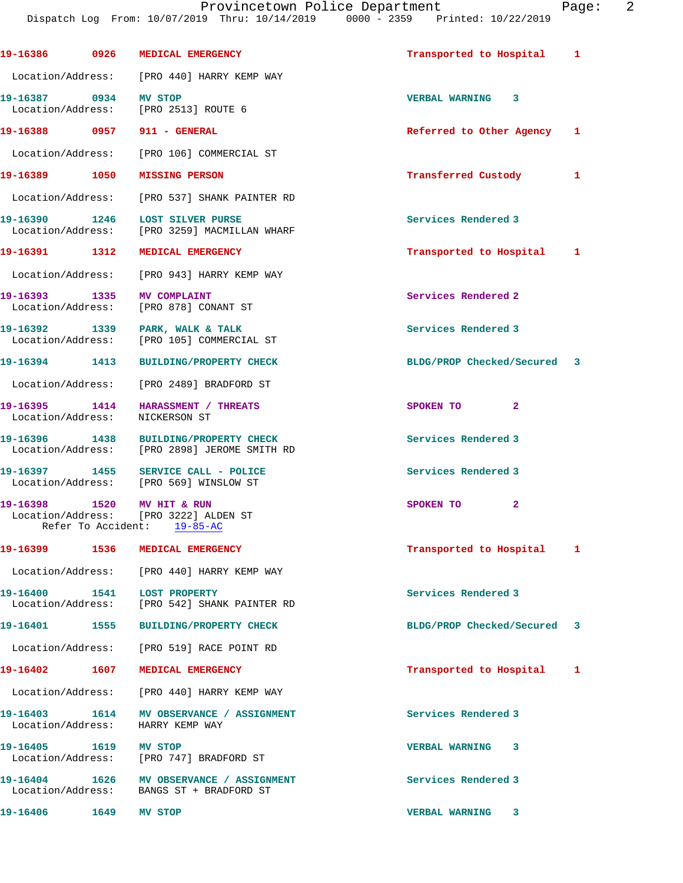|                                    | 19-16386 0926 MEDICAL EMERGENCY                                                       | Transported to Hospital 1   |  |
|------------------------------------|---------------------------------------------------------------------------------------|-----------------------------|--|
|                                    | Location/Address: [PRO 440] HARRY KEMP WAY                                            |                             |  |
| 19-16387 0934 MV STOP              | Location/Address: [PRO 2513] ROUTE 6                                                  | <b>VERBAL WARNING 3</b>     |  |
|                                    | 19-16388 0957 911 - GENERAL                                                           | Referred to Other Agency 1  |  |
|                                    | Location/Address: [PRO 106] COMMERCIAL ST                                             |                             |  |
|                                    | 19-16389 1050 MISSING PERSON                                                          | Transferred Custody 1       |  |
|                                    | Location/Address: [PRO 537] SHANK PAINTER RD                                          |                             |  |
|                                    | 19-16390 1246 LOST SILVER PURSE<br>Location/Address: [PRO 3259] MACMILLAN WHARF       | Services Rendered 3         |  |
|                                    | 19-16391 1312 MEDICAL EMERGENCY                                                       | Transported to Hospital 1   |  |
|                                    | Location/Address: [PRO 943] HARRY KEMP WAY                                            |                             |  |
| 19-16393 1335 MV COMPLAINT         | Location/Address: [PRO 878] CONANT ST                                                 | Services Rendered 2         |  |
|                                    | 19-16392 1339 PARK, WALK & TALK<br>Location/Address: [PRO 105] COMMERCIAL ST          | Services Rendered 3         |  |
|                                    | 19-16394 1413 BUILDING/PROPERTY CHECK                                                 | BLDG/PROP Checked/Secured 3 |  |
|                                    | Location/Address: [PRO 2489] BRADFORD ST                                              |                             |  |
| 19-16395 1414<br>Location/Address: | <b>HARASSMENT / THREATS</b><br>NICKERSON ST                                           | $\mathbf{2}$<br>SPOKEN TO   |  |
|                                    | 19-16396 1438 BUILDING/PROPERTY CHECK<br>Location/Address: [PRO 2898] JEROME SMITH RD | Services Rendered 3         |  |
|                                    | 19-16397 1455 SERVICE CALL - POLICE<br>Location/Address: [PRO 569] WINSLOW ST         | Services Rendered 3         |  |
| 19-16398 1520 MV HIT & RUN         | Location/Address: [PRO 3222] ALDEN ST<br>Refer To Accident: 19-85-AC                  | SPOKEN TO 2                 |  |
| 19-16399 1536                      | MEDICAL EMERGENCY                                                                     | Transported to Hospital 1   |  |
|                                    | Location/Address: [PRO 440] HARRY KEMP WAY                                            |                             |  |
| 19-16400   1541   LOST PROPERTY    | Location/Address: [PRO 542] SHANK PAINTER RD                                          | Services Rendered 3         |  |
|                                    | 19-16401 1555 BUILDING/PROPERTY CHECK                                                 | BLDG/PROP Checked/Secured 3 |  |
|                                    | Location/Address: [PRO 519] RACE POINT RD                                             |                             |  |
|                                    | 19-16402 1607 MEDICAL EMERGENCY                                                       | Transported to Hospital 1   |  |
|                                    | Location/Address: [PRO 440] HARRY KEMP WAY                                            |                             |  |
|                                    | 19-16403 1614 MV OBSERVANCE / ASSIGNMENT<br>Location/Address: HARRY KEMP WAY          | Services Rendered 3         |  |
| 19-16405 1619 MV STOP              | Location/Address: [PRO 747] BRADFORD ST                                               | <b>VERBAL WARNING 3</b>     |  |
|                                    | 19-16404 1626 MV OBSERVANCE / ASSIGNMENT<br>Location/Address: BANGS ST + BRADFORD ST  | Services Rendered 3         |  |
| 19-16406 1649                      | MV STOP                                                                               | <b>VERBAL WARNING 3</b>     |  |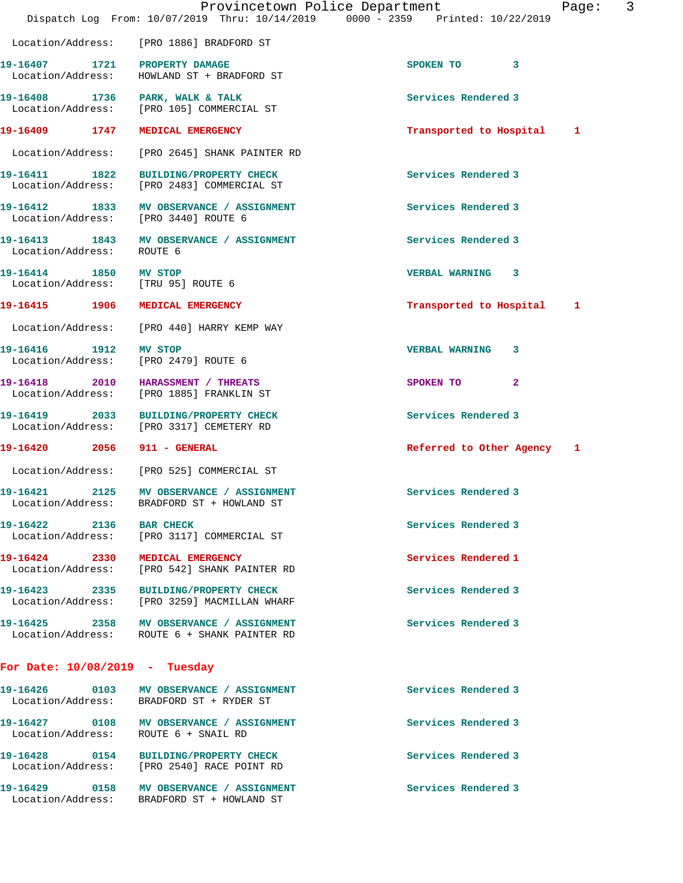|                                                             | Provincetown Police Department                                                           | 3<br>Page:                 |
|-------------------------------------------------------------|------------------------------------------------------------------------------------------|----------------------------|
|                                                             | Dispatch Log From: 10/07/2019 Thru: 10/14/2019 0000 - 2359 Printed: 10/22/2019           |                            |
|                                                             | Location/Address: [PRO 1886] BRADFORD ST                                                 |                            |
| 19-16407 1721 PROPERTY DAMAGE                               | Location/Address: HOWLAND ST + BRADFORD ST                                               | SPOKEN TO 3                |
|                                                             | 19-16408 1736 PARK, WALK & TALK<br>Location/Address: [PRO 105] COMMERCIAL ST             | Services Rendered 3        |
|                                                             | 19-16409 1747 MEDICAL EMERGENCY                                                          | Transported to Hospital 1  |
|                                                             | Location/Address: [PRO 2645] SHANK PAINTER RD                                            |                            |
|                                                             | 19-16411 1822 BUILDING/PROPERTY CHECK<br>Location/Address: [PRO 2483] COMMERCIAL ST      | Services Rendered 3        |
|                                                             | 19-16412 1833 MV OBSERVANCE / ASSIGNMENT<br>Location/Address: [PRO 3440] ROUTE 6         | Services Rendered 3        |
| Location/Address: ROUTE 6                                   | 19-16413 1843 MV OBSERVANCE / ASSIGNMENT                                                 | Services Rendered 3        |
| 19-16414 1850 MV STOP<br>Location/Address: [TRU 95] ROUTE 6 |                                                                                          | VERBAL WARNING 3           |
|                                                             | 19-16415 1906 MEDICAL EMERGENCY                                                          | Transported to Hospital 1  |
|                                                             | Location/Address: [PRO 440] HARRY KEMP WAY                                               |                            |
|                                                             | 19-16416 1912 MV STOP<br>Location/Address: [PRO 2479] ROUTE 6                            | VERBAL WARNING 3           |
|                                                             | 19-16418 2010 HARASSMENT / THREATS<br>Location/Address: [PRO 1885] FRANKLIN ST           | SPOKEN TO<br>$\mathbf{2}$  |
|                                                             | 19-16419 2033 BUILDING/PROPERTY CHECK<br>Location/Address: [PRO 3317] CEMETERY RD        | Services Rendered 3        |
| 19-16420 2056 911 - GENERAL                                 |                                                                                          | Referred to Other Agency 1 |
|                                                             | Location/Address: [PRO 525] COMMERCIAL ST                                                |                            |
|                                                             | 19-16421 2125 MV OBSERVANCE / ASSIGNMENT<br>Location/Address: BRADFORD ST + HOWLAND ST   | Services Rendered 3        |
| 19-16422 2136 BAR CHECK                                     | Location/Address: [PRO 3117] COMMERCIAL ST                                               | Services Rendered 3        |
|                                                             | 19-16424 2330 MEDICAL EMERGENCY<br>Location/Address: [PRO 542] SHANK PAINTER RD          | Services Rendered 1        |
|                                                             | 19-16423 2335 BUILDING/PROPERTY CHECK<br>Location/Address: [PRO 3259] MACMILLAN WHARF    | Services Rendered 3        |
|                                                             | 19-16425 2358 MV OBSERVANCE / ASSIGNMENT<br>Location/Address: ROUTE 6 + SHANK PAINTER RD | Services Rendered 3        |
| For Date: $10/08/2019$ - Tuesday                            |                                                                                          |                            |
|                                                             | Location/Address: BRADFORD ST + RYDER ST                                                 | Services Rendered 3        |
|                                                             | Location/Address: ROUTE 6 + SNAIL RD                                                     | Services Rendered 3        |

Location/Address: [PRO 2540] RACE POINT RD

**19-16428 0154 BUILDING/PROPERTY CHECK Services Rendered 3** 

19-16429 **0158** MV OBSERVANCE / ASSIGNMENT **Services Rendered 3** Location/Address: BRADFORD ST + HOWLAND ST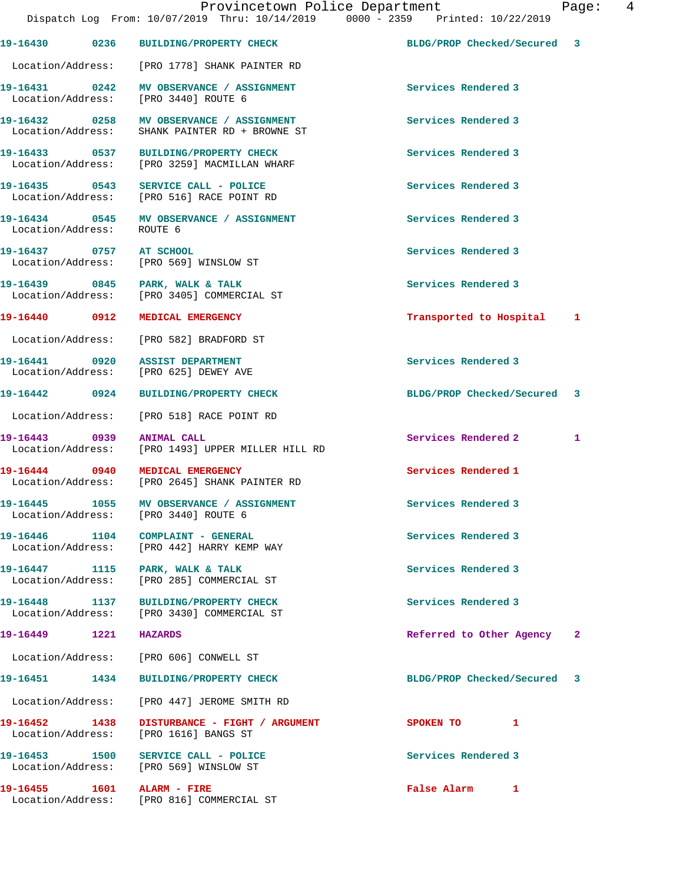|                                    |      | 19-16430 0236 BUILDING/PROPERTY CHECK                                                      | BLDG/PROP Checked/Secured 3 |   |
|------------------------------------|------|--------------------------------------------------------------------------------------------|-----------------------------|---|
|                                    |      | Location/Address: [PRO 1778] SHANK PAINTER RD                                              |                             |   |
|                                    |      | 19-16431 0242 MV OBSERVANCE / ASSIGNMENT<br>Location/Address: [PRO 3440] ROUTE 6           | Services Rendered 3         |   |
|                                    |      | 19-16432 0258 MV OBSERVANCE / ASSIGNMENT<br>Location/Address: SHANK PAINTER RD + BROWNE ST | Services Rendered 3         |   |
|                                    |      | 19-16433 0537 BUILDING/PROPERTY CHECK<br>Location/Address: [PRO 3259] MACMILLAN WHARF      | Services Rendered 3         |   |
|                                    |      | 19-16435 0543 SERVICE CALL - POLICE<br>Location/Address: [PRO 516] RACE POINT RD           | Services Rendered 3         |   |
| Location/Address: ROUTE 6          |      | 19-16434 0545 MV OBSERVANCE / ASSIGNMENT                                                   | Services Rendered 3         |   |
| 19-16437 0757 AT SCHOOL            |      | Location/Address: [PRO 569] WINSLOW ST                                                     | Services Rendered 3         |   |
|                                    |      | 19-16439 0845 PARK, WALK & TALK<br>Location/Address: [PRO 3405] COMMERCIAL ST              | Services Rendered 3         |   |
|                                    |      | 19-16440 0912 MEDICAL EMERGENCY                                                            | Transported to Hospital 1   |   |
|                                    |      | Location/Address: [PRO 582] BRADFORD ST                                                    |                             |   |
|                                    |      | 19-16441 0920 ASSIST DEPARTMENT<br>Location/Address: [PRO 625] DEWEY AVE                   | Services Rendered 3         |   |
|                                    |      | 19-16442 0924 BUILDING/PROPERTY CHECK                                                      | BLDG/PROP Checked/Secured 3 |   |
|                                    |      | Location/Address: [PRO 518] RACE POINT RD                                                  |                             |   |
| 19-16443 0939                      |      | <b>ANIMAL CALL</b><br>Location/Address: [PRO 1493] UPPER MILLER HILL RD                    | <b>Services Rendered 2</b>  | 1 |
|                                    |      | 19-16444 0940 MEDICAL EMERGENCY<br>Location/Address: [PRO 2645] SHANK PAINTER RD           | Services Rendered 1         |   |
|                                    |      | 19-16445 1055 MV OBSERVANCE / ASSIGNMENT<br>Location/Address: [PRO 3440] ROUTE 6           | Services Rendered 3         |   |
| 19-16446 1104<br>Location/Address: |      | COMPLAINT - GENERAL<br>[PRO 442] HARRY KEMP WAY                                            | Services Rendered 3         |   |
|                                    |      | 19-16447 1115 PARK, WALK & TALK<br>Location/Address: [PRO 285] COMMERCIAL ST               | Services Rendered 3         |   |
| 19-16448 1137                      |      | BUILDING/PROPERTY CHECK<br>Location/Address: [PRO 3430] COMMERCIAL ST                      | Services Rendered 3         |   |
| 19-16449 1221                      |      | <b>HAZARDS</b>                                                                             | Referred to Other Agency 2  |   |
|                                    |      | Location/Address: [PRO 606] CONWELL ST                                                     |                             |   |
| 19-16451                           | 1434 | BUILDING/PROPERTY CHECK                                                                    | BLDG/PROP Checked/Secured 3 |   |
| Location/Address:                  |      | [PRO 447] JEROME SMITH RD                                                                  |                             |   |
| 19-16452 1438<br>Location/Address: |      | DISTURBANCE - FIGHT / ARGUMENT<br>[PRO 1616] BANGS ST                                      | SPOKEN TO<br>1              |   |
| 19-16453 1500                      |      | SERVICE CALL - POLICE<br>Location/Address: [PRO 569] WINSLOW ST                            | Services Rendered 3         |   |
| 19-16455 1601                      |      | ALARM - FIRE<br>Location/Address: [PRO 816] COMMERCIAL ST                                  | False Alarm<br>$\mathbf{1}$ |   |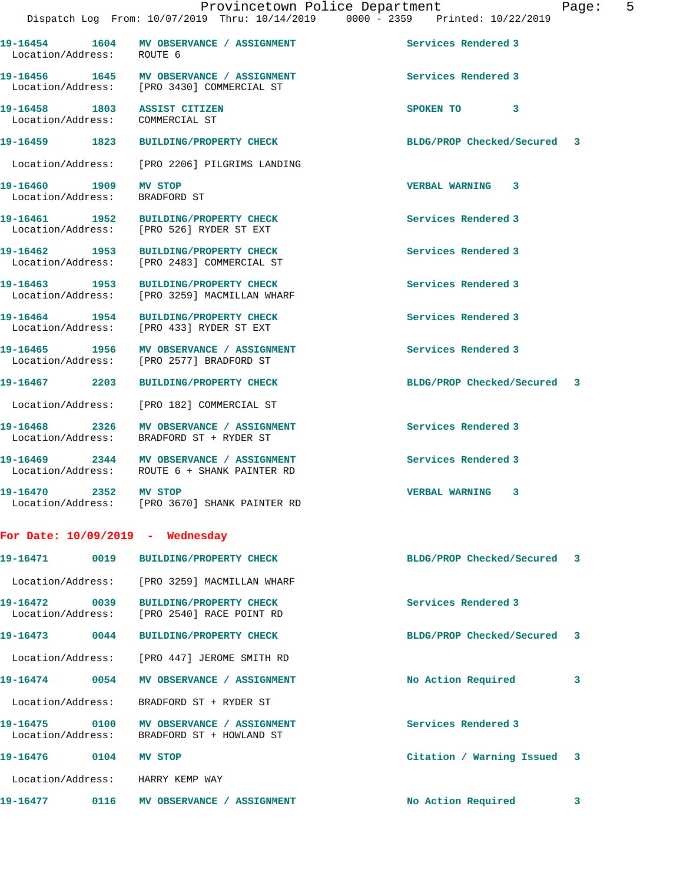| aae |  |  |
|-----|--|--|
|     |  |  |

| <b>MV OBSERVANCE / ASSIGNMENT</b><br>ROUTE 6                                                  | Services Rendered 3         |   |
|-----------------------------------------------------------------------------------------------|-----------------------------|---|
| 19-16456 1645 MV OBSERVANCE / ASSIGNMENT<br>Location/Address: [PRO 3430] COMMERCIAL ST        | Services Rendered 3         |   |
| 19-16458 1803 ASSIST CITIZEN<br>Location/Address: COMMERCIAL ST                               | SPOKEN TO<br>3              |   |
| 19-16459 1823<br><b>BUILDING/PROPERTY CHECK</b>                                               | BLDG/PROP Checked/Secured 3 |   |
| Location/Address: [PRO 2206] PILGRIMS LANDING                                                 |                             |   |
| <b>MV STOP</b><br>Location/Address: BRADFORD ST                                               | VERBAL WARNING 3            |   |
| 19-16461 1952<br><b>BUILDING/PROPERTY CHECK</b><br>Location/Address: [PRO 526] RYDER ST EXT   | Services Rendered 3         |   |
| 19-16462 1953<br><b>BUILDING/PROPERTY CHECK</b><br>Location/Address: [PRO 2483] COMMERCIAL ST | Services Rendered 3         |   |
| 19-16463 1953 BUILDING/PROPERTY CHECK<br>Location/Address: [PRO 3259] MACMILLAN WHARF         | Services Rendered 3         |   |
| 19-16464 1954<br><b>BUILDING/PROPERTY CHECK</b><br>Location/Address: [PRO 433] RYDER ST EXT   | Services Rendered 3         |   |
| 19-16465 1956 MV OBSERVANCE / ASSIGNMENT<br>Location/Address: [PRO 2577] BRADFORD ST          | Services Rendered 3         |   |
| <b>BUILDING/PROPERTY CHECK</b>                                                                | BLDG/PROP Checked/Secured 3 |   |
| Location/Address: [PRO 182] COMMERCIAL ST                                                     |                             |   |
| MV OBSERVANCE / ASSIGNMENT<br>Location/Address: BRADFORD ST + RYDER ST                        | Services Rendered 3         |   |
| 19-16469 2344 MV OBSERVANCE / ASSIGNMENT<br>Location/Address: ROUTE 6 + SHANK PAINTER RD      | Services Rendered 3         |   |
| 19-16470 2352 MV STOP<br>Location/Address: [PRO 3670] SHANK PAINTER RD                        | <b>VERBAL WARNING 3</b>     |   |
| For Date: $10/09/2019$ - Wednesday                                                            |                             |   |
| <b>BUILDING/PROPERTY CHECK</b>                                                                | BLDG/PROP Checked/Secured   | 3 |
| Location/Address: [PRO 3259] MACMILLAN WHARF                                                  |                             |   |
| <b>BUILDING/PROPERTY CHECK</b><br>Location/Address: [PRO 2540] RACE POINT RD                  | Services Rendered 3         |   |
| 0044<br><b>BUILDING/PROPERTY CHECK</b>                                                        | BLDG/PROP Checked/Secured   | 3 |
| Location/Address: [PRO 447] JEROME SMITH RD                                                   |                             |   |
|                                                                                               | No Action Required          | 3 |
| BRADFORD ST + RYDER ST                                                                        |                             |   |
| MV OBSERVANCE / ASSIGNMENT<br>BRADFORD ST + HOWLAND ST                                        | Services Rendered 3         |   |
| MV STOP                                                                                       | Citation / Warning Issued 3 |   |
| HARRY KEMP WAY                                                                                |                             |   |
|                                                                                               |                             |   |

19-16477 0116 MV OBSERVANCE / ASSIGNMENT No Action Required 3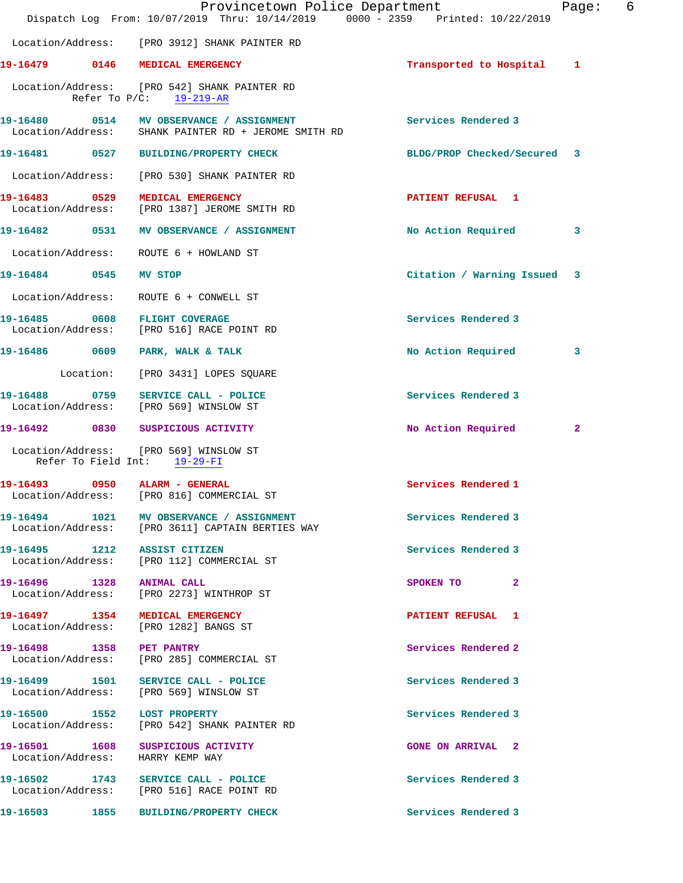|                                    |      | Provincetown Police Department<br>Dispatch Log From: 10/07/2019 Thru: 10/14/2019 0000 - 2359 Printed: 10/22/2019 |                           | Page:        | 6 |
|------------------------------------|------|------------------------------------------------------------------------------------------------------------------|---------------------------|--------------|---|
|                                    |      | Location/Address: [PRO 3912] SHANK PAINTER RD                                                                    |                           |              |   |
|                                    |      | 19-16479 0146 MEDICAL EMERGENCY                                                                                  | Transported to Hospital   | $\mathbf{1}$ |   |
|                                    |      | Location/Address: [PRO 542] SHANK PAINTER RD<br>Refer To $P/C$ : 19-219-AR                                       |                           |              |   |
|                                    |      | 19-16480 0514 MV OBSERVANCE / ASSIGNMENT<br>Location/Address: SHANK PAINTER RD + JEROME SMITH RD                 | Services Rendered 3       |              |   |
|                                    |      |                                                                                                                  | BLDG/PROP Checked/Secured | 3            |   |
| Location/Address:                  |      | [PRO 530] SHANK PAINTER RD                                                                                       |                           |              |   |
| 19-16483 0529<br>Location/Address: |      | MEDICAL EMERGENCY<br>[PRO 1387] JEROME SMITH RD                                                                  | <b>PATIENT REFUSAL 1</b>  |              |   |
| 19-16482 0531                      |      | MV OBSERVANCE / ASSIGNMENT                                                                                       | No Action Required        | 3            |   |
| Location/Address:                  |      | ROUTE 6 + HOWLAND ST                                                                                             |                           |              |   |
| 19-16484 0545                      |      | MV STOP                                                                                                          | Citation / Warning Issued | 3            |   |
| Location/Address:                  |      | ROUTE 6 + CONWELL ST                                                                                             |                           |              |   |
|                                    |      | 19-16485 0608 FLIGHT COVERAGE<br>Location/Address: [PRO 516] RACE POINT RD                                       | Services Rendered 3       |              |   |
| 19-16486 0609                      |      | PARK, WALK & TALK                                                                                                | No Action Required        | 3            |   |
|                                    |      | Location: [PRO 3431] LOPES SQUARE                                                                                |                           |              |   |
| 19-16488<br>Location/Address:      | 0759 | SERVICE CALL - POLICE<br>[PRO 569] WINSLOW ST                                                                    | Services Rendered 3       |              |   |
|                                    |      |                                                                                                                  | No Action Required        | $\mathbf{2}$ |   |
|                                    |      | Location/Address: [PRO 569] WINSLOW ST<br>Refer To Field Int: 19-29-FI                                           |                           |              |   |
| 19-16493                           |      | 0950 ALARM - GENERAL<br>Location/Address: [PRO 816] COMMERCIAL ST                                                | Services Rendered 1       |              |   |
|                                    |      | 19-16494 1021 MV OBSERVANCE / ASSIGNMENT<br>Location/Address: [PRO 3611] CAPTAIN BERTIES WAY                     | Services Rendered 3       |              |   |
|                                    |      | 19-16495 1212 ASSIST CITIZEN<br>Location/Address: [PRO 112] COMMERCIAL ST                                        | Services Rendered 3       |              |   |
|                                    |      | Location/Address: [PRO 2273] WINTHROP ST                                                                         | $\mathbf{2}$<br>SPOKEN TO |              |   |
|                                    |      | 19-16497 1354 MEDICAL EMERGENCY<br>Location/Address: [PRO 1282] BANGS ST                                         | PATIENT REFUSAL 1         |              |   |
| 19-16498    1358    PET PANTRY     |      | Location/Address: [PRO 285] COMMERCIAL ST                                                                        | Services Rendered 2       |              |   |
|                                    |      | 19-16499 1501 SERVICE CALL - POLICE<br>Location/Address: [PRO 569] WINSLOW ST                                    | Services Rendered 3       |              |   |
|                                    |      | 19-16500 1552 LOST PROPERTY<br>Location/Address: [PRO 542] SHANK PAINTER RD                                      | Services Rendered 3       |              |   |
|                                    |      | 19-16501 1608 SUSPICIOUS ACTIVITY<br>Location/Address: HARRY KEMP WAY                                            | <b>GONE ON ARRIVAL 2</b>  |              |   |
|                                    |      | 19-16502 1743 SERVICE CALL - POLICE<br>Location/Address: [PRO 516] RACE POINT RD                                 | Services Rendered 3       |              |   |
| 19-16503 1855                      |      | <b>BUILDING/PROPERTY CHECK</b>                                                                                   | Services Rendered 3       |              |   |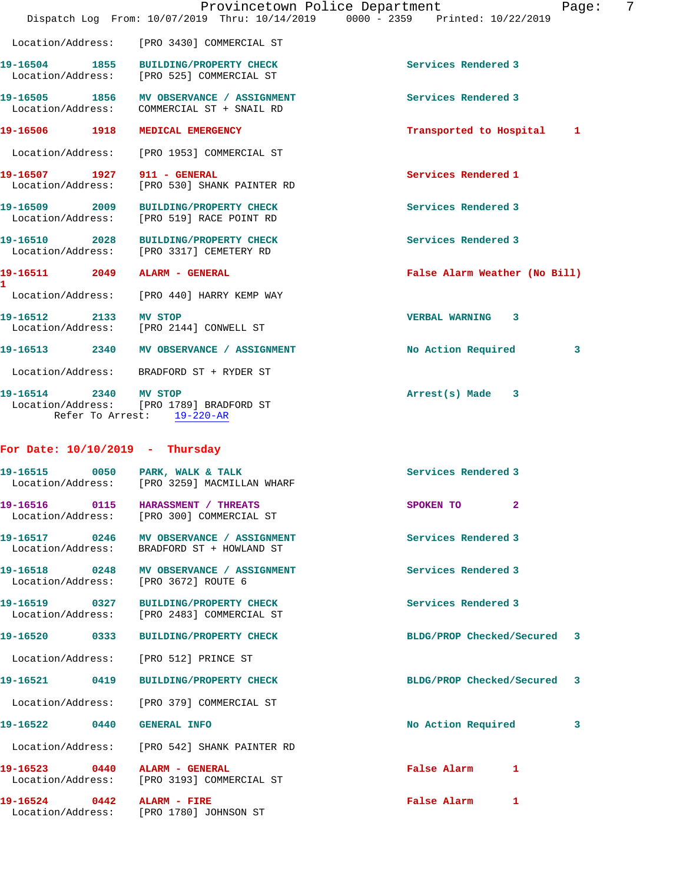|                                   |                                                                                        | Provincetown Police Department<br>7<br>Page:<br>Dispatch Log From: 10/07/2019 Thru: 10/14/2019 0000 - 2359 Printed: 10/22/2019 |
|-----------------------------------|----------------------------------------------------------------------------------------|--------------------------------------------------------------------------------------------------------------------------------|
|                                   | Location/Address: [PRO 3430] COMMERCIAL ST                                             |                                                                                                                                |
| 19-16504 1855                     | <b>BUILDING/PROPERTY CHECK</b><br>Location/Address: [PRO 525] COMMERCIAL ST            | Services Rendered 3                                                                                                            |
|                                   | 19-16505 1856 MV OBSERVANCE / ASSIGNMENT<br>Location/Address: COMMERCIAL ST + SNAIL RD | Services Rendered 3                                                                                                            |
| 19-16506 1918                     | MEDICAL EMERGENCY                                                                      | Transported to Hospital<br>1                                                                                                   |
| Location/Address:                 | [PRO 1953] COMMERCIAL ST                                                               |                                                                                                                                |
| 19-16507 1927 911 - GENERAL       | Location/Address: [PRO 530] SHANK PAINTER RD                                           | Services Rendered 1                                                                                                            |
|                                   | 19-16509 2009 BUILDING/PROPERTY CHECK<br>Location/Address: [PRO 519] RACE POINT RD     | Services Rendered 3                                                                                                            |
|                                   | 19-16510 2028 BUILDING/PROPERTY CHECK<br>Location/Address: [PRO 3317] CEMETERY RD      | Services Rendered 3                                                                                                            |
|                                   |                                                                                        | False Alarm Weather (No Bill)                                                                                                  |
|                                   | Location/Address: [PRO 440] HARRY KEMP WAY                                             |                                                                                                                                |
| 19-16512 2133 MV STOP             | Location/Address: [PRO 2144] CONWELL ST                                                | <b>VERBAL WARNING</b><br>3                                                                                                     |
|                                   | 19-16513 2340 MV OBSERVANCE / ASSIGNMENT                                               | No Action Required<br>3                                                                                                        |
|                                   | Location/Address: BRADFORD ST + RYDER ST                                               |                                                                                                                                |
| 19-16514 2340 MV STOP             | Location/Address: [PRO 1789] BRADFORD ST<br>Refer To Arrest: 19-220-AR                 | $Arrest(s)$ Made $3$                                                                                                           |
| For Date: $10/10/2019$ - Thursday |                                                                                        |                                                                                                                                |
| 19-16515 0050                     | PARK, WALK & TALK<br>Location/Address: [PRO 3259] MACMILLAN WHARF                      | Services Rendered 3                                                                                                            |
|                                   | 19-16516  0115    HARASSMENT / THREATS<br>Location/Address: [PRO 300] COMMERCIAL ST    | SPOKEN TO<br>$\mathbf{2}$                                                                                                      |
|                                   | 19-16517 0246 MV OBSERVANCE / ASSIGNMENT<br>Location/Address: BRADFORD ST + HOWLAND ST | Services Rendered 3                                                                                                            |
|                                   |                                                                                        |                                                                                                                                |

19-16518 **0248** MV OBSERVANCE / ASSIGNMENT **Services Rendered 3** Location/Address: [PRO 3672] ROUTE 6

**19-16519 0327 BUILDING/PROPERTY CHECK Services Rendered 3**  Location/Address: [PRO 2483] COMMERCIAL ST

Location/Address: [PRO 512] PRINCE ST

**19-16521 0419 BUILDING/PROPERTY CHECK BLDG/PROP Checked/Secured 3**

Location/Address: [PRO 379] COMMERCIAL ST

Location/Address: [PRO 542] SHANK PAINTER RD

Location/Address: [PRO 3193] COMMERCIAL ST

19-16524 0442 ALARM - FIRE **False Alarm** 1 Location/Address: [PRO 1780] JOHNSON ST

**19-16520 0333 BUILDING/PROPERTY CHECK BLDG/PROP Checked/Secured 3**

**19-16522 0440 GENERAL INFO No Action Required 3**

**19-16523 0440 ALARM - GENERAL False Alarm 1**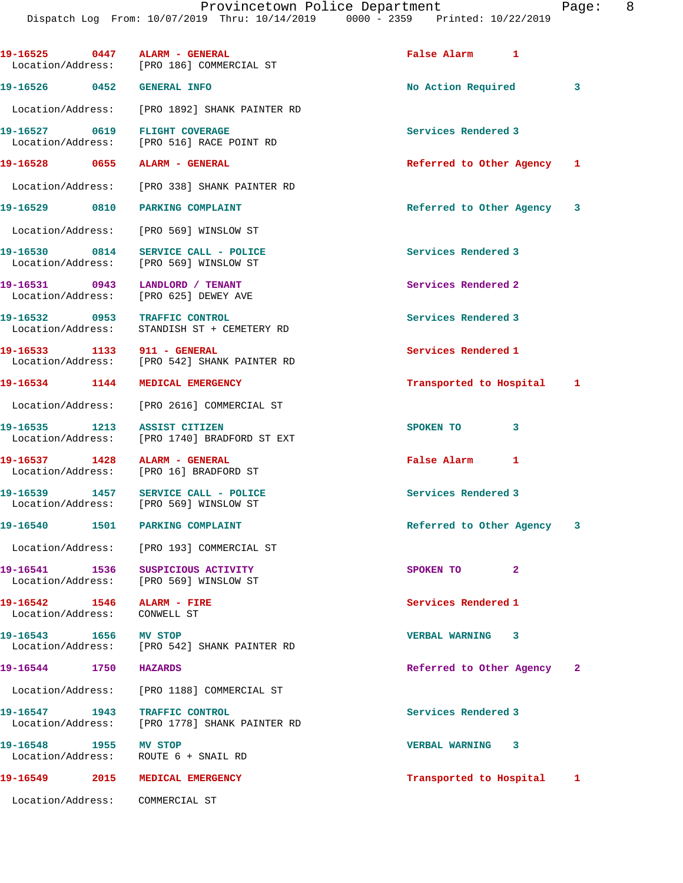| 19-16525 0447 ALARM - GENERAL                                 | Location/Address: [PRO 186] COMMERCIAL ST                                     | False Alarm 1               |                            |
|---------------------------------------------------------------|-------------------------------------------------------------------------------|-----------------------------|----------------------------|
| 19-16526 0452                                                 | <b>GENERAL INFO</b>                                                           | No Action Required          | $\overline{\phantom{a}}$ 3 |
|                                                               | Location/Address: [PRO 1892] SHANK PAINTER RD                                 |                             |                            |
| 19-16527 0619 FLIGHT COVERAGE                                 | Location/Address: [PRO 516] RACE POINT RD                                     | Services Rendered 3         |                            |
| 19-16528 0655 ALARM - GENERAL                                 |                                                                               | Referred to Other Agency 1  |                            |
|                                                               | Location/Address: [PRO 338] SHANK PAINTER RD                                  |                             |                            |
| 19-16529 0810                                                 | PARKING COMPLAINT                                                             | Referred to Other Agency 3  |                            |
|                                                               | Location/Address: [PRO 569] WINSLOW ST                                        |                             |                            |
|                                                               | 19-16530 0814 SERVICE CALL - POLICE<br>Location/Address: [PRO 569] WINSLOW ST | Services Rendered 3         |                            |
| 19-16531 0943 LANDLORD / TENANT                               | Location/Address: [PRO 625] DEWEY AVE                                         | Services Rendered 2         |                            |
| 19-16532 0953 TRAFFIC CONTROL<br>Location/Address:            | STANDISH ST + CEMETERY RD                                                     | Services Rendered 3         |                            |
| 19-16533 1133 911 - GENERAL                                   | Location/Address: [PRO 542] SHANK PAINTER RD                                  | Services Rendered 1         |                            |
| 19-16534 1144                                                 | MEDICAL EMERGENCY                                                             | Transported to Hospital 1   |                            |
|                                                               | Location/Address: [PRO 2616] COMMERCIAL ST                                    |                             |                            |
| 19-16535 1213                                                 | <b>ASSIST CITIZEN</b><br>Location/Address: [PRO 1740] BRADFORD ST EXT         | $\mathbf{3}$<br>SPOKEN TO   |                            |
| 19-16537 1428                                                 | ALARM - GENERAL<br>Location/Address: [PRO 16] BRADFORD ST                     | False Alarm 1               |                            |
| 19-16539 1457                                                 | SERVICE CALL - POLICE<br>Location/Address: [PRO 569] WINSLOW ST               | Services Rendered 3         |                            |
| 19-16540 1501 PARKING COMPLAINT                               |                                                                               | Referred to Other Agency 3  |                            |
|                                                               | Location/Address: [PRO 193] COMMERCIAL ST                                     |                             |                            |
|                                                               | 19-16541 1536 SUSPICIOUS ACTIVITY<br>Location/Address: [PRO 569] WINSLOW ST   | $\overline{2}$<br>SPOKEN TO |                            |
| Location/Address: CONWELL ST                                  |                                                                               | Services Rendered 1         |                            |
| 19-16543 1656 MV STOP                                         | Location/Address: [PRO 542] SHANK PAINTER RD                                  | <b>VERBAL WARNING 3</b>     |                            |
| 19-16544<br>1750                                              | <b>HAZARDS</b>                                                                | Referred to Other Agency 2  |                            |
|                                                               | Location/Address: [PRO 1188] COMMERCIAL ST                                    |                             |                            |
| 19-16547 1943<br>Location/Address:                            | TRAFFIC CONTROL<br>[PRO 1778] SHANK PAINTER RD                                | Services Rendered 3         |                            |
| 19-16548 1955 MV STOP<br>Location/Address: ROUTE 6 + SNAIL RD |                                                                               | VERBAL WARNING 3            |                            |
| 19-16549<br>2015                                              | MEDICAL EMERGENCY                                                             | Transported to Hospital 1   |                            |
| Location/Address: COMMERCIAL ST                               |                                                                               |                             |                            |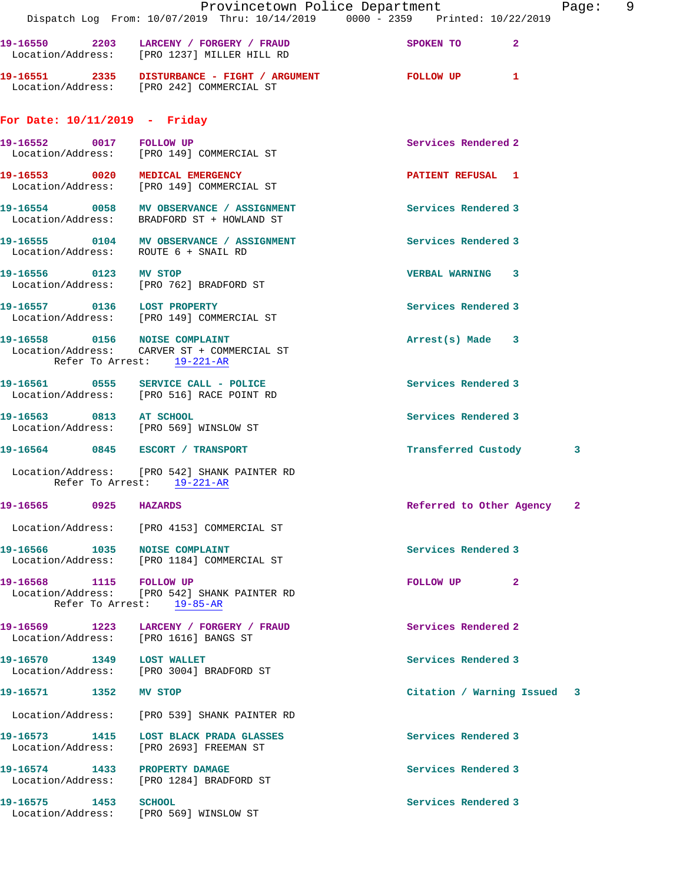|                                 | Provincetown Police Department<br>Dispatch Log From: 10/07/2019 Thru: 10/14/2019 0000 - 2359 Printed: 10/22/2019 |                             | Page: | - 9 |
|---------------------------------|------------------------------------------------------------------------------------------------------------------|-----------------------------|-------|-----|
|                                 | 19-16550 2203 LARCENY / FORGERY / FRAUD<br>Location/Address: [PRO 1237] MILLER HILL RD                           | SPOKEN TO 2                 |       |     |
|                                 | 19-16551 2335 DISTURBANCE - FIGHT / ARGUMENT<br>Location/Address: [PRO 242] COMMERCIAL ST                        | FOLLOW UP <sub>1</sub>      |       |     |
| For Date: $10/11/2019$ - Friday |                                                                                                                  |                             |       |     |
| 19-16552 0017 FOLLOW UP         | Location/Address: [PRO 149] COMMERCIAL ST                                                                        | Services Rendered 2         |       |     |
|                                 | 19-16553 0020 MEDICAL EMERGENCY<br>Location/Address: [PRO 149] COMMERCIAL ST                                     | <b>PATIENT REFUSAL 1</b>    |       |     |
|                                 | 19-16554 0058 MV OBSERVANCE / ASSIGNMENT<br>Location/Address: BRADFORD ST + HOWLAND ST                           | Services Rendered 3         |       |     |
|                                 | 19-16555 0104 MV OBSERVANCE / ASSIGNMENT<br>Location/Address: ROUTE 6 + SNAIL RD                                 | Services Rendered 3         |       |     |
|                                 | 19-16556 0123 MV STOP<br>Location/Address: [PRO 762] BRADFORD ST                                                 | VERBAL WARNING 3            |       |     |
|                                 | 19-16557 0136 LOST PROPERTY<br>Location/Address: [PRO 149] COMMERCIAL ST                                         | Services Rendered 3         |       |     |
| 19-16558 0156 NOISE COMPLAINT   | Location/Address: CARVER ST + COMMERCIAL ST<br>Refer To Arrest: 19-221-AR                                        | $Arrest(s)$ Made $3$        |       |     |
|                                 | 19-16561 0555 SERVICE CALL - POLICE<br>Location/Address: [PRO 516] RACE POINT RD                                 | Services Rendered 3         |       |     |
|                                 | 19-16563 0813 AT SCHOOL<br>Location/Address: [PRO 569] WINSLOW ST                                                | Services Rendered 3         |       |     |
|                                 | 19-16564 0845 ESCORT / TRANSPORT                                                                                 | Transferred Custody         | 3     |     |
|                                 | Location/Address: [PRO 542] SHANK PAINTER RD<br>Refer To Arrest: 19-221-AR                                       |                             |       |     |
| 19-16565<br>0925                | <b>HAZARDS</b>                                                                                                   | Referred to Other Agency    | -2    |     |
|                                 | Location/Address: [PRO 4153] COMMERCIAL ST                                                                       |                             |       |     |
| 19-16566 1035 NOISE COMPLAINT   | Location/Address: [PRO 1184] COMMERCIAL ST                                                                       | Services Rendered 3         |       |     |
| 19-16568 1115 FOLLOW UP         | Location/Address: [PRO 542] SHANK PAINTER RD<br>Refer To Arrest: 19-85-AR                                        | FOLLOW UP<br>$\mathbf{2}$   |       |     |
|                                 | 19-16569 1223 LARCENY / FORGERY / FRAUD<br>Location/Address: [PRO 1616] BANGS ST                                 | Services Rendered 2         |       |     |
| 19-16570 1349 LOST WALLET       | Location/Address: [PRO 3004] BRADFORD ST                                                                         | Services Rendered 3         |       |     |
| 19-16571 1352 MV STOP           |                                                                                                                  | Citation / Warning Issued 3 |       |     |
|                                 | Location/Address: [PRO 539] SHANK PAINTER RD                                                                     |                             |       |     |
|                                 | 19-16573 1415 LOST BLACK PRADA GLASSES<br>Location/Address: [PRO 2693] FREEMAN ST                                | Services Rendered 3         |       |     |
| 19-16574 1433 PROPERTY DAMAGE   | Location/Address: [PRO 1284] BRADFORD ST                                                                         | Services Rendered 3         |       |     |
| 19-16575 1453 SCHOOL            | Location/Address: [PRO 569] WINSLOW ST                                                                           | Services Rendered 3         |       |     |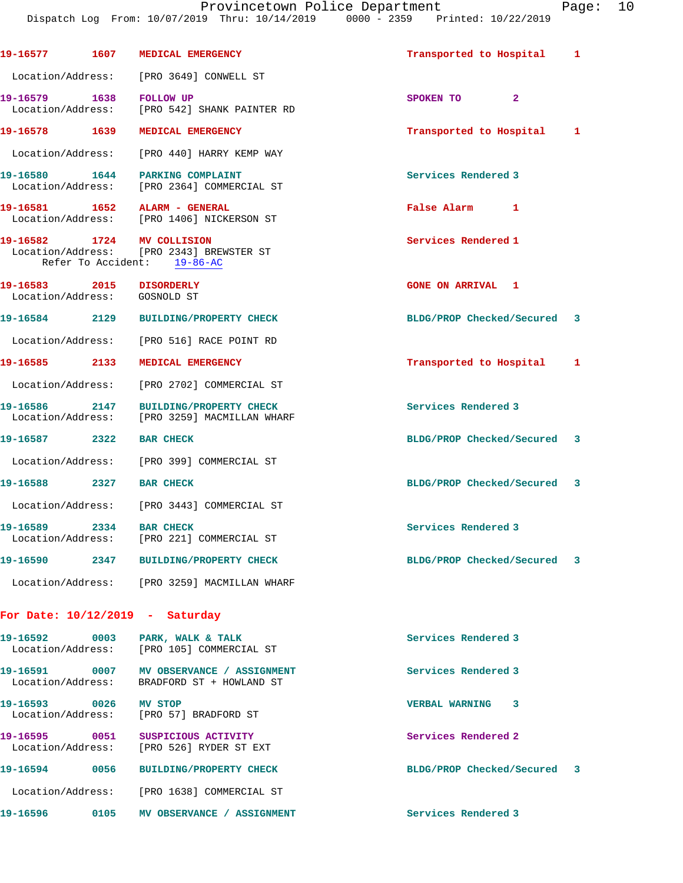| 19-16577                                      |                    | 1607 MEDICAL EMERGENCY                                                                   | Transported to Hospital     | $\mathbf{1}$ |
|-----------------------------------------------|--------------------|------------------------------------------------------------------------------------------|-----------------------------|--------------|
|                                               |                    | Location/Address: [PRO 3649] CONWELL ST                                                  |                             |              |
| 19-16579 1638                                 |                    | <b>FOLLOW UP</b><br>Location/Address: [PRO 542] SHANK PAINTER RD                         | SPOKEN TO 2                 |              |
| 19-16578 1639                                 |                    | MEDICAL EMERGENCY                                                                        | Transported to Hospital     | 1            |
|                                               |                    | Location/Address: [PRO 440] HARRY KEMP WAY                                               |                             |              |
|                                               |                    | 19-16580 1644 PARKING COMPLAINT<br>Location/Address: [PRO 2364] COMMERCIAL ST            | Services Rendered 3         |              |
|                                               |                    | 19-16581    1652    ALARM - GENERAL<br>Location/Address: [PRO 1406] NICKERSON ST         | False Alarm 1               |              |
|                                               | Refer To Accident: | 19-16582 1724 MV COLLISION<br>Location/Address: [PRO 2343] BREWSTER ST<br>$19 - 86 - AC$ | Services Rendered 1         |              |
| 19-16583 2015 DISORDERLY<br>Location/Address: |                    | GOSNOLD ST                                                                               | <b>GONE ON ARRIVAL 1</b>    |              |
| 19-16584 2129                                 |                    | <b>BUILDING/PROPERTY CHECK</b>                                                           | BLDG/PROP Checked/Secured 3 |              |
|                                               |                    | Location/Address: [PRO 516] RACE POINT RD                                                |                             |              |
| 19-16585 2133                                 |                    | MEDICAL EMERGENCY                                                                        | Transported to Hospital 1   |              |
|                                               |                    | Location/Address: [PRO 2702] COMMERCIAL ST                                               |                             |              |
| 19-16586                                      |                    | 2147 BUILDING/PROPERTY CHECK<br>Location/Address: [PRO 3259] MACMILLAN WHARF             | Services Rendered 3         |              |
| 19-16587                                      | 2322               | <b>BAR CHECK</b>                                                                         | BLDG/PROP Checked/Secured 3 |              |
|                                               |                    | Location/Address: [PRO 399] COMMERCIAL ST                                                |                             |              |
| 19-16588 2327                                 |                    | <b>BAR CHECK</b>                                                                         | BLDG/PROP Checked/Secured 3 |              |
|                                               |                    | Location/Address: [PRO 3443] COMMERCIAL ST                                               |                             |              |
| 19-16589                                      | 2334               | <b>BAR CHECK</b><br>Location/Address: [PRO 221] COMMERCIAL ST                            | Services Rendered 3         |              |
|                                               |                    | 19-16590 2347 BUILDING/PROPERTY CHECK                                                    | BLDG/PROP Checked/Secured 3 |              |
|                                               |                    | Location/Address: [PRO 3259] MACMILLAN WHARF                                             |                             |              |
|                                               |                    | For Date: $10/12/2019$ - Saturday                                                        |                             |              |
|                                               |                    | 19-16592 0003 PARK, WALK & TALK<br>Location/Address: [PRO 105] COMMERCIAL ST             | Services Rendered 3         |              |
|                                               |                    | 19-16591 0007 MV OBSERVANCE / ASSIGNMENT<br>Location/Address: BRADFORD ST + HOWLAND ST   | Services Rendered 3         |              |
| 19-16593 0026 MV STOP                         |                    | Location/Address: [PRO 57] BRADFORD ST                                                   | VERBAL WARNING 3            |              |
| 19-16595 0051                                 |                    | SUSPICIOUS ACTIVITY<br>Location/Address: [PRO 526] RYDER ST EXT                          | Services Rendered 2         |              |
|                                               |                    | 19-16594 0056 BUILDING/PROPERTY CHECK                                                    | BLDG/PROP Checked/Secured 3 |              |
|                                               |                    | Location/Address: [PRO 1638] COMMERCIAL ST                                               |                             |              |
| 19-16596                                      |                    | 0105 MV OBSERVANCE / ASSIGNMENT                                                          | Services Rendered 3         |              |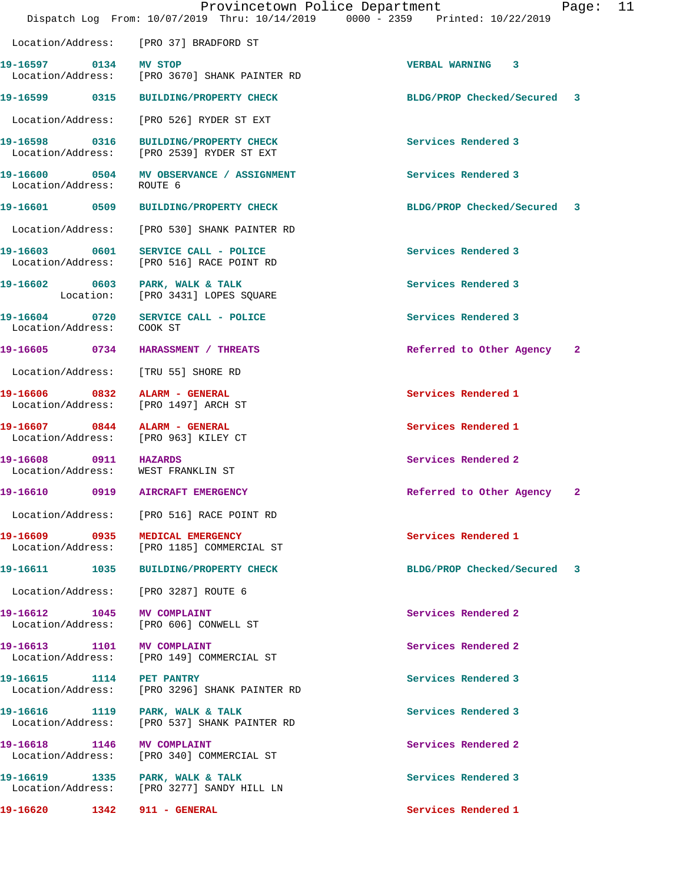|                                                                       | Provincetown Police Department<br>Dispatch Log From: 10/07/2019 Thru: 10/14/2019 0000 - 2359 Printed: 10/22/2019 |                             | Page: 11 |  |
|-----------------------------------------------------------------------|------------------------------------------------------------------------------------------------------------------|-----------------------------|----------|--|
|                                                                       | Location/Address: [PRO 37] BRADFORD ST                                                                           |                             |          |  |
| 19-16597 0134 MV STOP                                                 | Location/Address: [PRO 3670] SHANK PAINTER RD                                                                    | <b>VERBAL WARNING 3</b>     |          |  |
|                                                                       | 19-16599 0315 BUILDING/PROPERTY CHECK                                                                            | BLDG/PROP Checked/Secured 3 |          |  |
|                                                                       | Location/Address: [PRO 526] RYDER ST EXT                                                                         |                             |          |  |
|                                                                       | 19-16598 0316 BUILDING/PROPERTY CHECK<br>Location/Address: [PRO 2539] RYDER ST EXT                               | Services Rendered 3         |          |  |
| Location/Address:                                                     | 19-16600 0504 MV OBSERVANCE / ASSIGNMENT<br>ROUTE 6                                                              | Services Rendered 3         |          |  |
|                                                                       | 19-16601 0509 BUILDING/PROPERTY CHECK                                                                            | BLDG/PROP Checked/Secured 3 |          |  |
|                                                                       | Location/Address: [PRO 530] SHANK PAINTER RD                                                                     |                             |          |  |
|                                                                       | 19-16603 0601 SERVICE CALL - POLICE<br>Location/Address: [PRO 516] RACE POINT RD                                 | Services Rendered 3         |          |  |
| 19-16602 0603 PARK, WALK & TALK                                       | Location: [PRO 3431] LOPES SQUARE                                                                                | Services Rendered 3         |          |  |
| Location/Address: COOK ST                                             | 19-16604 0720 SERVICE CALL - POLICE                                                                              | Services Rendered 3         |          |  |
|                                                                       | 19-16605 0734 HARASSMENT / THREATS                                                                               | Referred to Other Agency 2  |          |  |
| Location/Address: [TRU 55] SHORE RD                                   |                                                                                                                  |                             |          |  |
| 19-16606 0832 ALARM - GENERAL<br>Location/Address: [PRO 1497] ARCH ST |                                                                                                                  | Services Rendered 1         |          |  |
| 19-16607 0844 ALARM - GENERAL<br>Location/Address: [PRO 963] KILEY CT |                                                                                                                  | Services Rendered 1         |          |  |
| 19-16608 0911 HAZARDS<br>Location/Address: WEST FRANKLIN ST           |                                                                                                                  | Services Rendered 2         |          |  |
| 19-16610  0919  AIRCRAFT EMERGENCY                                    |                                                                                                                  | Referred to Other Agency 2  |          |  |
|                                                                       | Location/Address: [PRO 516] RACE POINT RD                                                                        |                             |          |  |
| 19-16609 0935 MEDICAL EMERGENCY                                       | Location/Address: [PRO 1185] COMMERCIAL ST                                                                       | Services Rendered 1         |          |  |
|                                                                       | 19-16611 1035 BUILDING/PROPERTY CHECK                                                                            | BLDG/PROP Checked/Secured 3 |          |  |
| Location/Address: [PRO 3287] ROUTE 6                                  |                                                                                                                  |                             |          |  |
| 19-16612 1045 MV COMPLAINT                                            | Location/Address: [PRO 606] CONWELL ST                                                                           | Services Rendered 2         |          |  |
| 19-16613 1101 MV COMPLAINT                                            | Location/Address: [PRO 149] COMMERCIAL ST                                                                        | Services Rendered 2         |          |  |
| 19-16615 1114 PET PANTRY                                              | Location/Address: [PRO 3296] SHANK PAINTER RD                                                                    | Services Rendered 3         |          |  |
| 19-16616 1119 PARK, WALK & TALK                                       | Location/Address: [PRO 537] SHANK PAINTER RD                                                                     | Services Rendered 3         |          |  |
| 19-16618 1146 MV COMPLAINT                                            | Location/Address: [PRO 340] COMMERCIAL ST                                                                        | Services Rendered 2         |          |  |
|                                                                       | 19-16619 1335 PARK, WALK & TALK<br>Location/Address: [PRO 3277] SANDY HILL LN                                    | Services Rendered 3         |          |  |
|                                                                       |                                                                                                                  | Services Rendered 1         |          |  |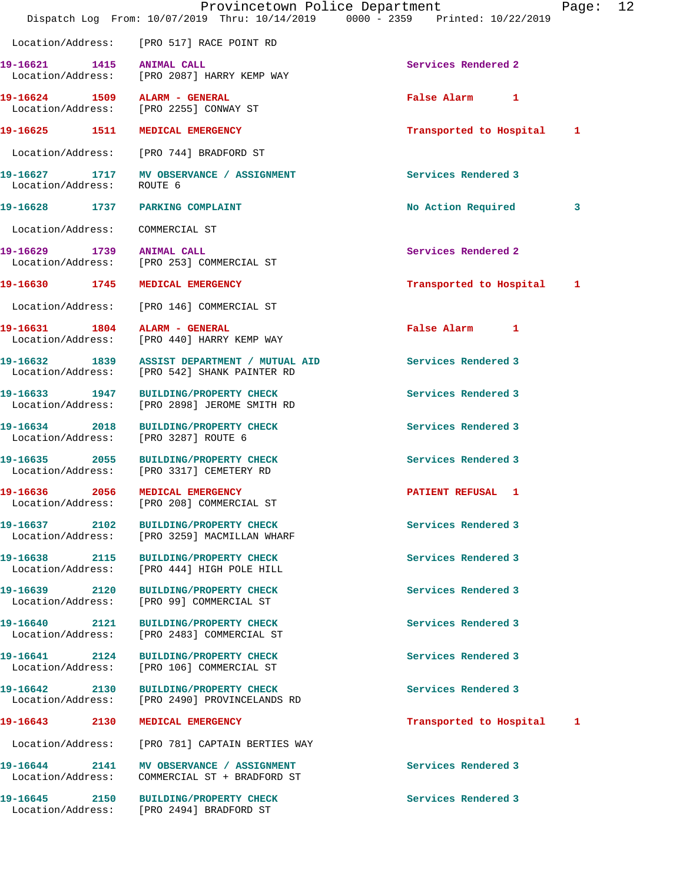|                                    |                                                                                              | Provincetown Police Department<br>Dispatch Log From: 10/07/2019 Thru: 10/14/2019 0000 - 2359 Printed: 10/22/2019 | Page: | 12 |
|------------------------------------|----------------------------------------------------------------------------------------------|------------------------------------------------------------------------------------------------------------------|-------|----|
|                                    | Location/Address: [PRO 517] RACE POINT RD                                                    |                                                                                                                  |       |    |
| 19-16621 1415 ANIMAL CALL          | Location/Address: [PRO 2087] HARRY KEMP WAY                                                  | Services Rendered 2                                                                                              |       |    |
|                                    | 19-16624 1509 ALARM - GENERAL<br>Location/Address: [PRO 2255] CONWAY ST                      | False Alarm 1                                                                                                    |       |    |
|                                    | 19-16625 1511 MEDICAL EMERGENCY                                                              | Transported to Hospital 1                                                                                        |       |    |
|                                    | Location/Address: [PRO 744] BRADFORD ST                                                      |                                                                                                                  |       |    |
| Location/Address: ROUTE 6          | 19-16627 1717 MV OBSERVANCE / ASSIGNMENT                                                     | Services Rendered 3                                                                                              |       |    |
|                                    | 19-16628 1737 PARKING COMPLAINT                                                              | No Action Required                                                                                               | 3     |    |
| Location/Address: COMMERCIAL ST    |                                                                                              |                                                                                                                  |       |    |
| 19-16629 1739 ANIMAL CALL          | Location/Address: [PRO 253] COMMERCIAL ST                                                    | Services Rendered 2                                                                                              |       |    |
|                                    | 19-16630 1745 MEDICAL EMERGENCY                                                              | Transported to Hospital 1                                                                                        |       |    |
|                                    | Location/Address: [PRO 146] COMMERCIAL ST                                                    |                                                                                                                  |       |    |
|                                    | 19-16631 1804 ALARM - GENERAL<br>Location/Address: [PRO 440] HARRY KEMP WAY                  | False Alarm 1                                                                                                    |       |    |
|                                    | 19-16632 1839 ASSIST DEPARTMENT / MUTUAL AID<br>Location/Address: [PRO 542] SHANK PAINTER RD | Services Rendered 3                                                                                              |       |    |
| Location/Address:                  | 19-16633 1947 BUILDING/PROPERTY CHECK<br>[PRO 2898] JEROME SMITH RD                          | Services Rendered 3                                                                                              |       |    |
|                                    | 19-16634 2018 BUILDING/PROPERTY CHECK<br>Location/Address: [PRO 3287] ROUTE 6                | Services Rendered 3                                                                                              |       |    |
|                                    | 19-16635 2055 BUILDING/PROPERTY CHECK<br>Location/Address: [PRO 3317] CEMETERY RD            | Services Rendered 3                                                                                              |       |    |
| 19-16636 2056                      | MEDICAL EMERGENCY<br>Location/Address: [PRO 208] COMMERCIAL ST                               | PATIENT REFUSAL 1                                                                                                |       |    |
| 19-16637 2102                      | <b>BUILDING/PROPERTY CHECK</b><br>Location/Address: [PRO 3259] MACMILLAN WHARF               | Services Rendered 3                                                                                              |       |    |
|                                    | 19-16638 2115 BUILDING/PROPERTY CHECK<br>Location/Address: [PRO 444] HIGH POLE HILL          | Services Rendered 3                                                                                              |       |    |
| 19-16639 2120<br>Location/Address: | <b>BUILDING/PROPERTY CHECK</b><br>[PRO 99] COMMERCIAL ST                                     | Services Rendered 3                                                                                              |       |    |
| Location/Address:                  | 19-16640 2121 BUILDING/PROPERTY CHECK<br>[PRO 2483] COMMERCIAL ST                            | Services Rendered 3                                                                                              |       |    |
| 19-16641 2124<br>Location/Address: | <b>BUILDING/PROPERTY CHECK</b><br>[PRO 106] COMMERCIAL ST                                    | Services Rendered 3                                                                                              |       |    |
|                                    | 19-16642 2130 BUILDING/PROPERTY CHECK<br>Location/Address: [PRO 2490] PROVINCELANDS RD       | Services Rendered 3                                                                                              |       |    |
|                                    | 19-16643 2130 MEDICAL EMERGENCY                                                              | Transported to Hospital                                                                                          | 1     |    |
|                                    | Location/Address: [PRO 781] CAPTAIN BERTIES WAY                                              |                                                                                                                  |       |    |
| 19-16644 2141<br>Location/Address: | MV OBSERVANCE / ASSIGNMENT<br>COMMERCIAL ST + BRADFORD ST                                    | Services Rendered 3                                                                                              |       |    |
|                                    | 19-16645 2150 BUILDING/PROPERTY CHECK<br>Location/Address: [PRO 2494] BRADFORD ST            | Services Rendered 3                                                                                              |       |    |
|                                    |                                                                                              |                                                                                                                  |       |    |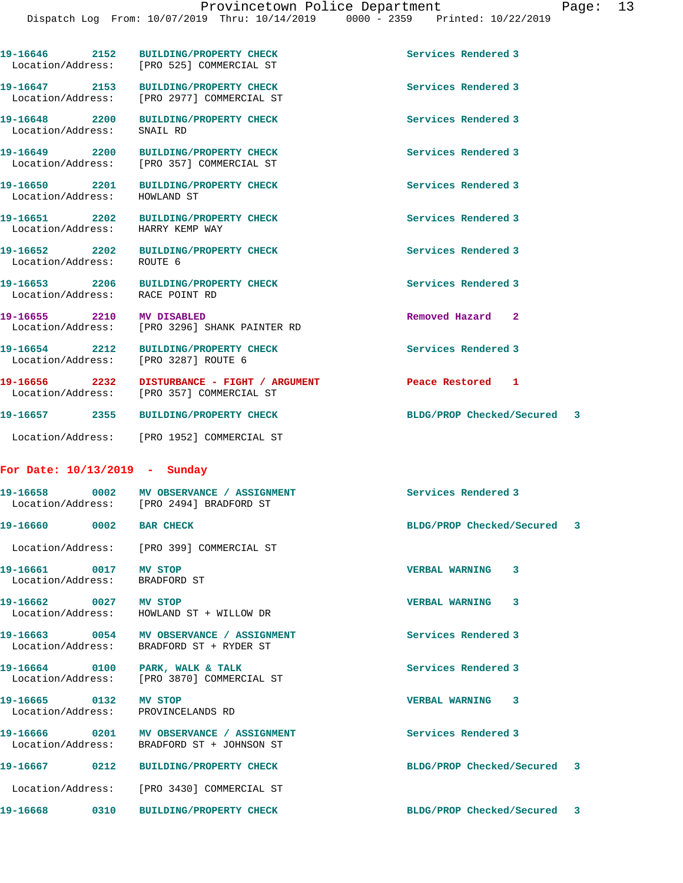**19-16649 2200 BUILDING/PROPERTY CHECK Services Rendered 3**  Location/Address: [PRO 357] COMMERCIAL ST **19-16650 2201 BUILDING/PROPERTY CHECK Services Rendered 3**  Location/Address: HOWLAND ST **19-16651 2202 BUILDING/PROPERTY CHECK Services Rendered 3**  Location/Address: HARRY KEMP WAY **19-16652 2202 BUILDING/PROPERTY CHECK Services Rendered 3**  Location/Address: ROUTE 6 19-16653 2206 BUILDING/PROPERTY CHECK **Services** Rendered 3 Location/Address: RACE POINT RD **19-16655 2210 MV DISABLED Removed Hazard 2**  Location/Address: [PRO 3296] SHANK PAINTER RD **19-16654 2212 BUILDING/PROPERTY CHECK Services Rendered 3**  Location/Address: [PRO 3287] ROUTE 6 **19-16656 2232 DISTURBANCE - FIGHT / ARGUMENT Peace Restored 1 19-16657 2355 BUILDING/PROPERTY CHECK BLDG/PROP Checked/Secured 3** Location/Address: [PRO 1952] COMMERCIAL ST

**19-16647 2153 BUILDING/PROPERTY CHECK Services Rendered 3**  Location/Address: [PRO 2977] COMMERCIAL ST

**19-16648 2200 BUILDING/PROPERTY CHECK Services Rendered 3**  Location/Address: SNAIL RD

19-16646 2152 BUILDING/PROPERTY CHECK Services Rendered 3

Location/Address: [PRO 357] COMMERCIAL ST

Location/Address: [PRO 525] COMMERCIAL ST

# **For Date: 10/13/2019 - Sunday**

|                                    | Location/Address: [PRO 2494] BRADFORD ST                                               | Services Rendered 3         |
|------------------------------------|----------------------------------------------------------------------------------------|-----------------------------|
| 19-16660 0002                      | <b>BAR CHECK</b>                                                                       | BLDG/PROP Checked/Secured 3 |
|                                    | Location/Address: [PRO 399] COMMERCIAL ST                                              |                             |
| 19-16661 0017<br>Location/Address: | MV STOP<br>BRADFORD ST                                                                 | <b>VERBAL WARNING</b><br>3  |
| 19-16662 0027                      | MV STOP<br>Location/Address: HOWLAND ST + WILLOW DR                                    | <b>VERBAL WARNING</b><br>3  |
| Location/Address:                  | BRADFORD ST + RYDER ST                                                                 | Services Rendered 3         |
|                                    | 19-16664 0100 PARK, WALK & TALK<br>Location/Address: [PRO 3870] COMMERCIAL ST          | Services Rendered 3         |
| 19-16665 0132<br>Location/Address: | MV STOP<br>PROVINCELANDS RD                                                            | <b>VERBAL WARNING</b><br>3  |
|                                    | 19-16666 0201 MV OBSERVANCE / ASSIGNMENT<br>Location/Address: BRADFORD ST + JOHNSON ST | Services Rendered 3         |
| 19-16667 0212                      | <b>BUILDING/PROPERTY CHECK</b>                                                         | BLDG/PROP Checked/Secured 3 |
|                                    | Location/Address: [PRO 3430] COMMERCIAL ST                                             |                             |
|                                    | <b>BUILDING/PROPERTY CHECK</b>                                                         | BLDG/PROP Checked/Secured 3 |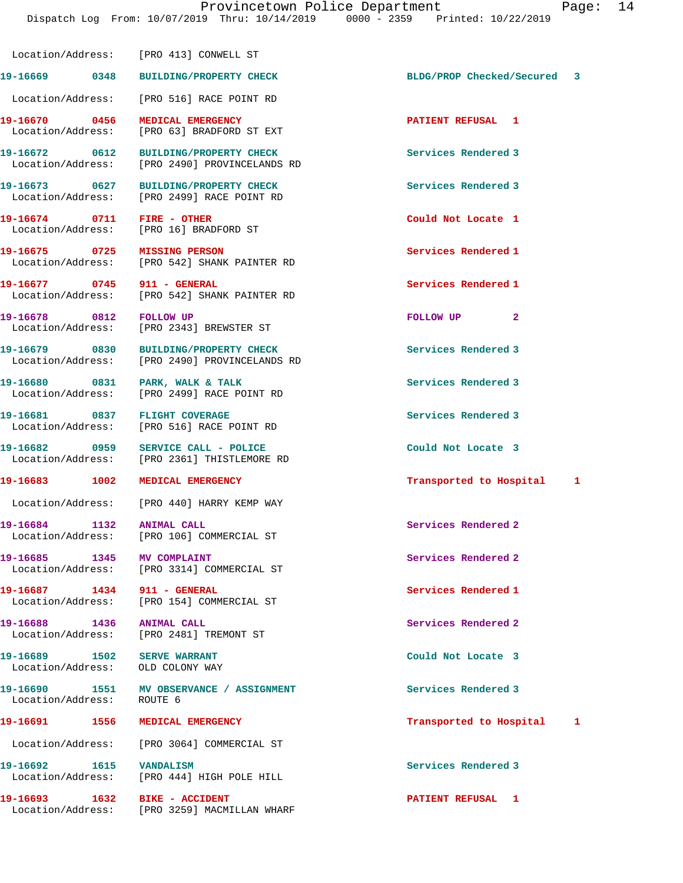**19-16669 0348 BUILDING/PROPERTY CHECK BLDG/PROP Checked/Secured 3** Location/Address: [PRO 516] RACE POINT RD **19-16670 0456 MEDICAL EMERGENCY PATIENT REFUSAL 1**  Location/Address: [PRO 63] BRADFORD ST EXT

**19-16672 0612 BUILDING/PROPERTY CHECK Services Rendered 3**  Location/Address: [PRO 2490] PROVINCELANDS RD

Location/Address: [PRO 413] CONWELL ST

**19-16673 0627 BUILDING/PROPERTY CHECK Services Rendered 3**  Location/Address: [PRO 2499] RACE POINT RD

Location/Address: [PRO 16] BRADFORD ST

Location/Address: [PRO 542] SHANK PAINTER RD

**19-16677 0745 911 - GENERAL Services Rendered 1**  Location/Address: [PRO 542] SHANK PAINTER RD

**19-16678 0812 FOLLOW UP FOLLOW UP 2** 

**19-16689 1502 SERVE WARRANT Could Not Locate 3**  Location/Address: OLD COLONY WAY

Location/Address:

19-16674 0711 FIRE - OTHER **COULD 19-16674** Could Not Locate 1

**19-16675 0725 MISSING PERSON Services Rendered 1** 

Location/Address: [PRO 2343] BREWSTER ST

**19-16679 0830 BUILDING/PROPERTY CHECK Services Rendered 3**  Location/Address: [PRO 2490] PROVINCELANDS RD

19-16680 0831 PARK, WALK & TALK Services Rendered 3 Location/Address: [PRO 2499] RACE POINT RD

**19-16681 0837 FLIGHT COVERAGE Services Rendered 3**  Location/Address: [PRO 516] RACE POINT RD

19-16682 0959 SERVICE CALL - POLICE Could Not Locate 3<br>
Location/Address: [PRO 2361] THISTLEMORE RD [PRO 2361] THISTLEMORE RD

Location/Address: [PRO 440] HARRY KEMP WAY

19-16684 1132 ANIMAL CALL **19-16684** Services Rendered 2 Location/Address: [PRO 106] COMMERCIAL ST

**19-16685 1345 MV COMPLAINT Services Rendered 2**  Location/Address: [PRO 3314] COMMERCIAL ST

**19-16687 1434 911 - GENERAL Services Rendered 1**  Location/Address: [PRO 154] COMMERCIAL ST

**19-16688 1436 ANIMAL CALL Services Rendered 2**  Location/Address: [PRO 2481] TREMONT ST

19-16690 1551 MV OBSERVANCE / ASSIGNMENT **Services Rendered 3 160 Services** Rendered 3

Location/Address: [PRO 3064] COMMERCIAL ST

**19-16692 1615 VANDALISM Services Rendered 3**  Location/Address: [PRO 444] HIGH POLE HILL

**19-16693 1632 BIKE - ACCIDENT PATIENT REFUSAL 1**  Location/Address: [PRO 3259] MACMILLAN WHARF

**19-16683 1002 MEDICAL EMERGENCY Transported to Hospital 1**

**19-16691 1556 MEDICAL EMERGENCY Transported to Hospital 1**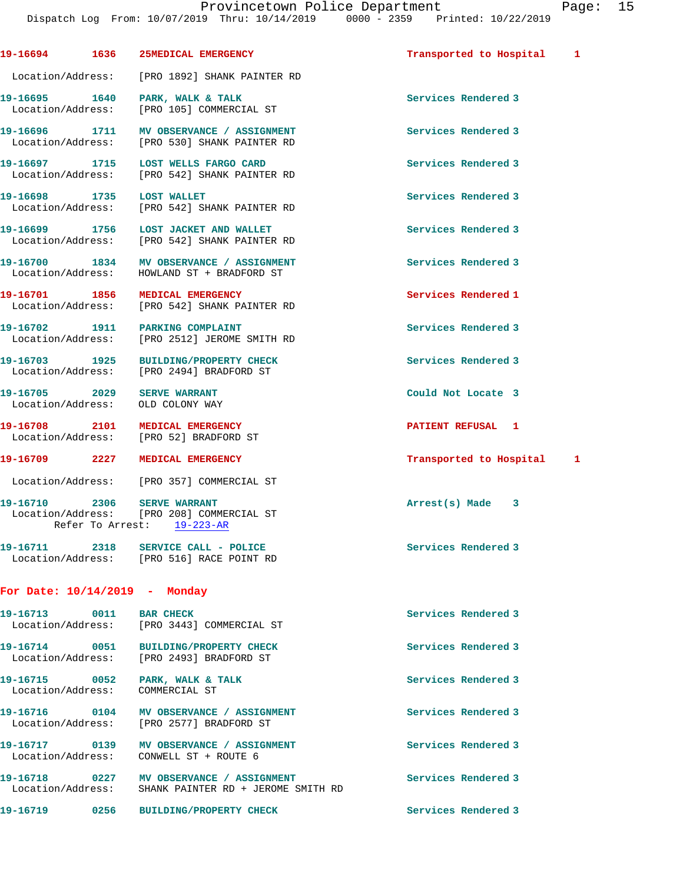Dispatch Log From: 10/07/2019 Thru: 10/14/2019 0000 - 2359 Printed: 10/22/2019 **19-16694 1636 25MEDICAL EMERGENCY Transported to Hospital 1** Location/Address: [PRO 1892] SHANK PAINTER RD **19-16695 1640 PARK, WALK & TALK Services Rendered 3**  Location/Address: [PRO 105] COMMERCIAL ST **19-16696 1711 MV OBSERVANCE / ASSIGNMENT Services Rendered 3**  Location/Address: [PRO 530] SHANK PAINTER RD 19-16697 1715 LOST WELLS FARGO CARD **19-16697** Services Rendered 3 Location/Address: [PRO 542] SHANK PAINTER RD **19-16698 1735 LOST WALLET Services Rendered 3**  Location/Address: [PRO 542] SHANK PAINTER RD **19-16699 1756 LOST JACKET AND WALLET Services Rendered 3**  Location/Address: [PRO 542] SHANK PAINTER RD **19-16700 1834 MV OBSERVANCE / ASSIGNMENT Services Rendered 3**  Location/Address: HOWLAND ST + BRADFORD ST **19-16701 1856 MEDICAL EMERGENCY 19-16701 Services Rendered 1**<br>
Location/Address: [PRO 542] SHANK PAINTER RD [PRO 542] SHANK PAINTER RD **19-16702 1911 PARKING COMPLAINT Services Rendered 3**  Location/Address: [PRO 2512] JEROME SMITH RD 19-16703 1925 BUILDING/PROPERTY CHECK **1998** Services Rendered 3 Location/Address: [PRO 2494] BRADFORD ST **19-16705 2029 SERVE WARRANT Could Not Locate 3**  Location/Address: OLD COLONY WAY **19-16708 2101 MEDICAL EMERGENCY PATIENT REFUSAL 1**  Location/Address: [PRO 52] BRADFORD ST **19-16709 2227 MEDICAL EMERGENCY Transported to Hospital 1** Location/Address: [PRO 357] COMMERCIAL ST **19-16710 2306 SERVE WARRANT Arrest(s) Made 3**  Location/Address: [PRO 208] COMMERCIAL ST Refer To Arrest: 19-223-AR 19-16711 2318 SERVICE CALL - POLICE **Services Rendered 3**  Location/Address: [PRO 516] RACE POINT RD **For Date: 10/14/2019 - Monday 19-16713 0011 BAR CHECK Services Rendered 3**  Location/Address: [PRO 3443] COMMERCIAL ST **19-16714 0051 BUILDING/PROPERTY CHECK Services Rendered 3**  Location/Address: [PRO 2493] BRADFORD ST 19-16715 0052 PARK, WALK & TALK **Services Rendered 3** Location/Address: COMMERCIAL ST

19-16716 **0104 MV OBSERVANCE / ASSIGNMENT** Services Rendered 3 Location/Address: [PRO 2577] BRADFORD ST

**19-16717 0139 MV OBSERVANCE / ASSIGNMENT Services Rendered 3**  Location/Address: CONWELL ST + ROUTE 6

19-16718 **0227** MV OBSERVANCE / ASSIGNMENT **Services Rendered 3** Location/Address: SHANK PAINTER RD + JEROME SMITH RD

**19-16719 0256 BUILDING/PROPERTY CHECK Services Rendered 3**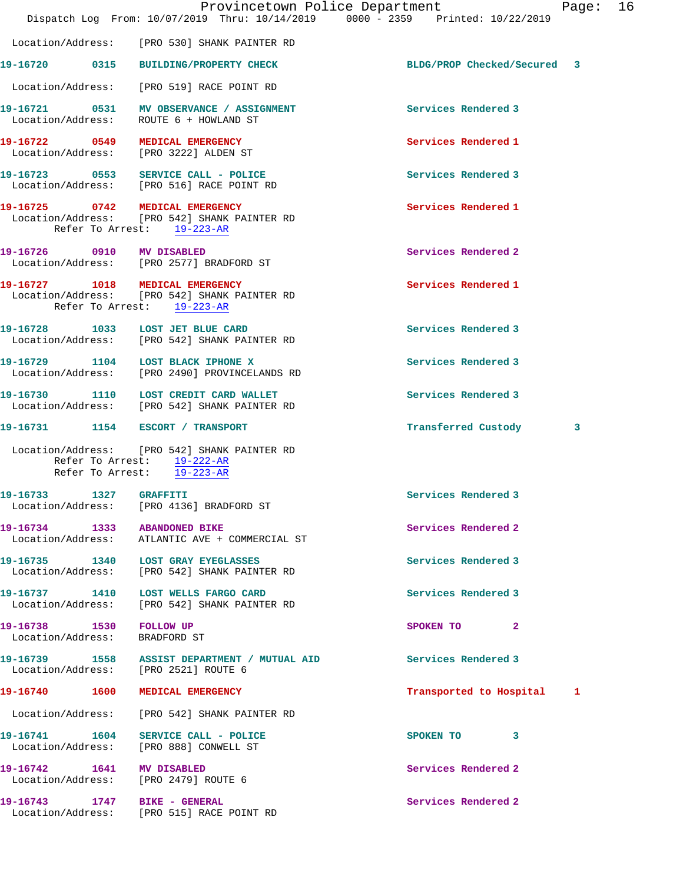|                                                          |      | Provincetown Police Department<br>Dispatch Log From: 10/07/2019 Thru: 10/14/2019 0000 - 2359 Printed: 10/22/2019 |                             | Page: | 16 |
|----------------------------------------------------------|------|------------------------------------------------------------------------------------------------------------------|-----------------------------|-------|----|
|                                                          |      | Location/Address: [PRO 530] SHANK PAINTER RD                                                                     |                             |       |    |
|                                                          |      | 19-16720 0315 BUILDING/PROPERTY CHECK                                                                            | BLDG/PROP Checked/Secured 3 |       |    |
|                                                          |      | Location/Address: [PRO 519] RACE POINT RD                                                                        |                             |       |    |
|                                                          |      | 19-16721 0531 MV OBSERVANCE / ASSIGNMENT<br>Location/Address: ROUTE 6 + HOWLAND ST                               | Services Rendered 3         |       |    |
|                                                          |      | 19-16722 0549 MEDICAL EMERGENCY<br>Location/Address: [PRO 3222] ALDEN ST                                         | Services Rendered 1         |       |    |
|                                                          |      | 19-16723 0553 SERVICE CALL - POLICE<br>Location/Address: [PRO 516] RACE POINT RD                                 | Services Rendered 3         |       |    |
|                                                          |      | 19-16725 0742 MEDICAL EMERGENCY<br>Location/Address: [PRO 542] SHANK PAINTER RD<br>Refer To Arrest: 19-223-AR    | Services Rendered 1         |       |    |
| 19-16726 0910 MV DISABLED                                |      | Location/Address: [PRO 2577] BRADFORD ST                                                                         | Services Rendered 2         |       |    |
|                                                          |      | 19-16727 1018 MEDICAL EMERGENCY<br>Location/Address: [PRO 542] SHANK PAINTER RD<br>Refer To Arrest: 19-223-AR    | Services Rendered 1         |       |    |
|                                                          |      | 19-16728 1033 LOST JET BLUE CARD<br>Location/Address: [PRO 542] SHANK PAINTER RD                                 | Services Rendered 3         |       |    |
|                                                          |      | 19-16729 1104 LOST BLACK IPHONE X<br>Location/Address: [PRO 2490] PROVINCELANDS RD                               | Services Rendered 3         |       |    |
|                                                          |      | 19-16730 1110 LOST CREDIT CARD WALLET<br>Location/Address: [PRO 542] SHANK PAINTER RD                            | Services Rendered 3         |       |    |
| 19-16731                                                 |      | 1154 ESCORT / TRANSPORT                                                                                          | Transferred Custody         | 3     |    |
|                                                          |      | Location/Address: [PRO 542] SHANK PAINTER RD<br>Refer To Arrest: $19-222-AR$<br>Refer To Arrest: 19-223-AR       |                             |       |    |
| 19-16733                                                 | 1327 | <b>GRAFFITI</b><br>Location/Address: [PRO 4136] BRADFORD ST                                                      | Services Rendered 3         |       |    |
|                                                          |      | 19-16734 1333 ABANDONED BIKE<br>Location/Address: ATLANTIC AVE + COMMERCIAL ST                                   | Services Rendered 2         |       |    |
|                                                          |      | 19-16735 1340 LOST GRAY EYEGLASSES<br>Location/Address: [PRO 542] SHANK PAINTER RD                               | Services Rendered 3         |       |    |
|                                                          |      | 19-16737 1410 LOST WELLS FARGO CARD<br>Location/Address: [PRO 542] SHANK PAINTER RD                              | Services Rendered 3         |       |    |
| 19-16738 1530 FOLLOW UP<br>Location/Address: BRADFORD ST |      |                                                                                                                  | SPOKEN TO<br>$\mathbf{2}$   |       |    |
|                                                          |      | 19-16739 1558 ASSIST DEPARTMENT / MUTUAL AID<br>Location/Address: [PRO 2521] ROUTE 6                             | Services Rendered 3         |       |    |
|                                                          |      | 19-16740  1600 MEDICAL EMERGENCY                                                                                 | Transported to Hospital     | 1     |    |
|                                                          |      | Location/Address: [PRO 542] SHANK PAINTER RD                                                                     |                             |       |    |
|                                                          |      | 19-16741  1604 SERVICE CALL - POLICE<br>Location/Address: [PRO 888] CONWELL ST                                   | SPOKEN TO 3                 |       |    |
| 19-16742 1641 MV DISABLED                                |      | Location/Address: [PRO 2479] ROUTE 6                                                                             | Services Rendered 2         |       |    |
| 19-16743 1747 BIKE - GENERAL                             |      | Location/Address: [PRO 515] RACE POINT RD                                                                        | Services Rendered 2         |       |    |